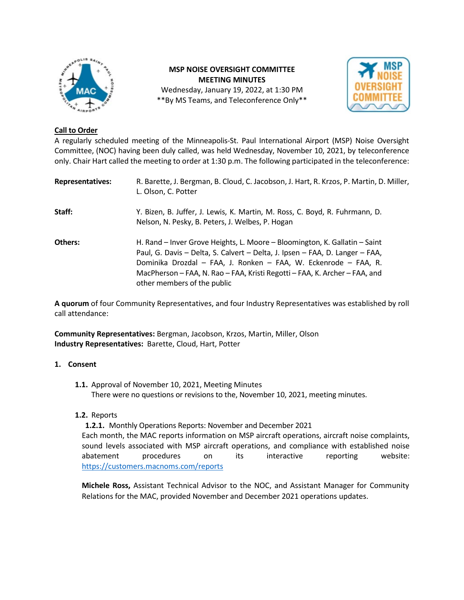

# **MSP NOISE OVERSIGHT COMMITTEE MEETING MINUTES** Wednesday, January 19, 2022, at 1:30 PM \*\*By MS Teams, and Teleconference Only\*\*



## **Call to Order**

A regularly scheduled meeting of the Minneapolis-St. Paul International Airport (MSP) Noise Oversight Committee, (NOC) having been duly called, was held Wednesday, November 10, 2021, by teleconference only. Chair Hart called the meeting to order at 1:30 p.m. The following participated in the teleconference:

| <b>Representatives:</b> | R. Barette, J. Bergman, B. Cloud, C. Jacobson, J. Hart, R. Krzos, P. Martin, D. Miller,<br>L. Olson, C. Potter                                                                                                                                                                                                                             |
|-------------------------|--------------------------------------------------------------------------------------------------------------------------------------------------------------------------------------------------------------------------------------------------------------------------------------------------------------------------------------------|
| Staff:                  | Y. Bizen, B. Juffer, J. Lewis, K. Martin, M. Ross, C. Boyd, R. Fuhrmann, D.<br>Nelson, N. Pesky, B. Peters, J. Welbes, P. Hogan                                                                                                                                                                                                            |
| Others:                 | H. Rand – Inver Grove Heights, L. Moore – Bloomington, K. Gallatin – Saint<br>Paul, G. Davis - Delta, S. Calvert - Delta, J. Ipsen - FAA, D. Langer - FAA,<br>Dominika Drozdal - FAA, J. Ronken - FAA, W. Eckenrode - FAA, R.<br>MacPherson – FAA, N. Rao – FAA, Kristi Regotti – FAA, K. Archer – FAA, and<br>other members of the public |

**A quorum** of four Community Representatives, and four Industry Representatives was established by roll call attendance:

**Community Representatives:** Bergman, Jacobson, Krzos, Martin, Miller, Olson **Industry Representatives:** Barette, Cloud, Hart, Potter

## **1. Consent**

**1.1.** Approval of November 10, 2021, Meeting Minutes There were no questions or revisions to the, November 10, 2021, meeting minutes.

## **1.2.** Reports

**1.2.1.** Monthly Operations Reports: November and December 2021

Each month, the MAC reports information on MSP aircraft operations, aircraft noise complaints, sound levels associated with MSP aircraft operations, and compliance with established noise abatement procedures on its interactive reporting website: <https://customers.macnoms.com/reports>

**Michele Ross,** Assistant Technical Advisor to the NOC, and Assistant Manager for Community Relations for the MAC, provided November and December 2021 operations updates.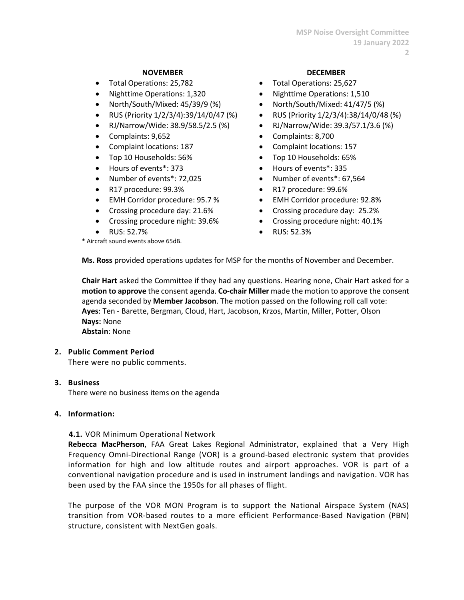#### **NOVEMBER DECEMBER**

- 
- 
- 
- RUS (Priority 1/2/3/4):39/14/0/47 (%) RUS (Priority 1/2/3/4):38/14/0/48 (%)
- 
- 
- Complaint locations: 187 Complaint locations: 157
- Top 10 Households: 56% Top 10 Households: 65%
- Hours of events\*: 373 Hours of events\*: 335
- 
- R17 procedure: 99.3% R17 procedure: 99.6%
- EMH Corridor procedure: 95.7 % EMH Corridor procedure: 92.8%
- 
- 
- 

\* Aircraft sound events above 65dB.

- Total Operations: 25,782 Total Operations: 25,627
	- Nighttime Operations: 1,320 Nighttime Operations: 1,510
- North/South/Mixed: 45/39/9 (%) North/South/Mixed: 41/47/5 (%)
	-
	- RJ/Narrow/Wide: 38.9/58.5/2.5 (%) RJ/Narrow/Wide: 39.3/57.1/3.6 (%)
- Complaints: 9,652 Complaints: 8,700
	-
	-
	-
- Number of events\*: 72,025 Number of events\*: 67,564
	-
	-
- Crossing procedure day: 21.6% Crossing procedure day: 25.2%
- Crossing procedure night: 39.6% Crossing procedure night: 40.1%
	- RUS: 52.7% RUS: 52.3%

**Ms. Ross** provided operations updates for MSP for the months of November and December.

**Chair Hart** asked the Committee if they had any questions. Hearing none, Chair Hart asked for a **motion to approve** the consent agenda. **Co-chair Miller** made the motion to approve the consent agenda seconded by **Member Jacobson**. The motion passed on the following roll call vote: **Ayes**: Ten - Barette, Bergman, Cloud, Hart, Jacobson, Krzos, Martin, Miller, Potter, Olson **Nays:** None **Abstain**: None

#### **2. Public Comment Period**

There were no public comments.

**3. Business**

There were no business items on the agenda

## **4. Information:**

**4.1.** VOR Minimum Operational Network

**Rebecca MacPherson**, FAA Great Lakes Regional Administrator, explained that a Very High Frequency Omni-Directional Range (VOR) is a ground-based electronic system that provides information for high and low altitude routes and airport approaches. VOR is part of a conventional navigation procedure and is used in instrument landings and navigation. VOR has been used by the FAA since the 1950s for all phases of flight.

The purpose of the VOR MON Program is to support the National Airspace System (NAS) transition from VOR-based routes to a more efficient Performance-Based Navigation (PBN) structure, consistent with NextGen goals.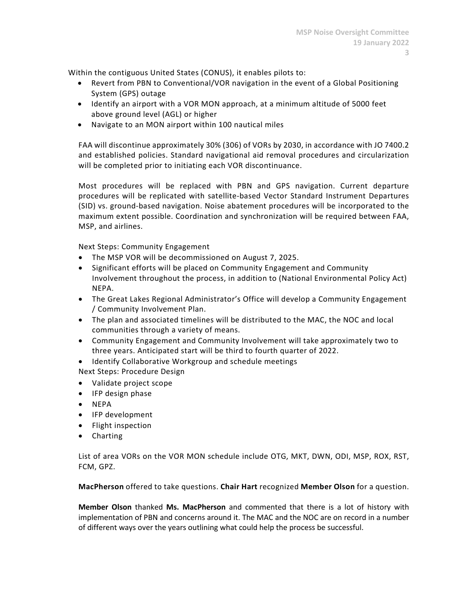Within the contiguous United States (CONUS), it enables pilots to:

- Revert from PBN to Conventional/VOR navigation in the event of a Global Positioning System (GPS) outage
- Identify an airport with a VOR MON approach, at a minimum altitude of 5000 feet above ground level (AGL) or higher
- Navigate to an MON airport within 100 nautical miles

FAA will discontinue approximately 30% (306) of VORs by 2030, in accordance with JO 7400.2 and established policies. Standard navigational aid removal procedures and circularization will be completed prior to initiating each VOR discontinuance.

Most procedures will be replaced with PBN and GPS navigation. Current departure procedures will be replicated with satellite-based Vector Standard Instrument Departures (SID) vs. ground-based navigation. Noise abatement procedures will be incorporated to the maximum extent possible. Coordination and synchronization will be required between FAA, MSP, and airlines.

Next Steps: Community Engagement

- The MSP VOR will be decommissioned on August 7, 2025.
- Significant efforts will be placed on Community Engagement and Community Involvement throughout the process, in addition to (National Environmental Policy Act) NEPA.
- The Great Lakes Regional Administrator's Office will develop a Community Engagement / Community Involvement Plan.
- The plan and associated timelines will be distributed to the MAC, the NOC and local communities through a variety of means.
- Community Engagement and Community Involvement will take approximately two to three years. Anticipated start will be third to fourth quarter of 2022.
- Identify Collaborative Workgroup and schedule meetings
- Next Steps: Procedure Design
- Validate project scope
- IFP design phase
- NEPA
- IFP development
- Flight inspection
- Charting

List of area VORs on the VOR MON schedule include OTG, MKT, DWN, ODI, MSP, ROX, RST, FCM, GPZ.

**MacPherson** offered to take questions. **Chair Hart** recognized **Member Olson** for a question.

**Member Olson** thanked **Ms. MacPherson** and commented that there is a lot of history with implementation of PBN and concerns around it. The MAC and the NOC are on record in a number of different ways over the years outlining what could help the process be successful.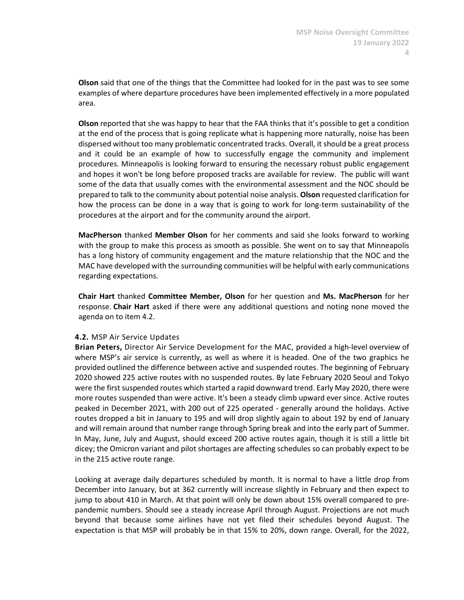**Olson** said that one of the things that the Committee had looked for in the past was to see some examples of where departure procedures have been implemented effectively in a more populated area.

**Olson** reported that she was happy to hear that the FAA thinks that it's possible to get a condition at the end of the process that is going replicate what is happening more naturally, noise has been dispersed without too many problematic concentrated tracks. Overall, it should be a great process and it could be an example of how to successfully engage the community and implement procedures. Minneapolis is looking forward to ensuring the necessary robust public engagement and hopes it won't be long before proposed tracks are available for review. The public will want some of the data that usually comes with the environmental assessment and the NOC should be prepared to talk to the community about potential noise analysis. **Olson** requested clarification for how the process can be done in a way that is going to work for long-term sustainability of the procedures at the airport and for the community around the airport.

**MacPherson** thanked **Member Olson** for her comments and said she looks forward to working with the group to make this process as smooth as possible. She went on to say that Minneapolis has a long history of community engagement and the mature relationship that the NOC and the MAC have developed with the surrounding communities will be helpful with early communications regarding expectations.

**Chair Hart** thanked **Committee Member, Olson** for her question and **Ms. MacPherson** for her response. **Chair Hart** asked if there were any additional questions and noting none moved the agenda on to item 4.2.

## **4.2.** MSP Air Service Updates

**Brian Peters,** Director Air Service Development for the MAC, provided a high-level overview of where MSP's air service is currently, as well as where it is headed. One of the two graphics he provided outlined the difference between active and suspended routes. The beginning of February 2020 showed 225 active routes with no suspended routes. By late February 2020 Seoul and Tokyo were the first suspended routes which started a rapid downward trend. Early May 2020, there were more routes suspended than were active. It's been a steady climb upward ever since. Active routes peaked in December 2021, with 200 out of 225 operated - generally around the holidays. Active routes dropped a bit in January to 195 and will drop slightly again to about 192 by end of January and will remain around that number range through Spring break and into the early part of Summer. In May, June, July and August, should exceed 200 active routes again, though it is still a little bit dicey; the Omicron variant and pilot shortages are affecting schedules so can probably expect to be in the 215 active route range.

Looking at average daily departures scheduled by month. It is normal to have a little drop from December into January, but at 362 currently will increase slightly in February and then expect to jump to about 410 in March. At that point will only be down about 15% overall compared to prepandemic numbers. Should see a steady increase April through August. Projections are not much beyond that because some airlines have not yet filed their schedules beyond August. The expectation is that MSP will probably be in that 15% to 20%, down range. Overall, for the 2022,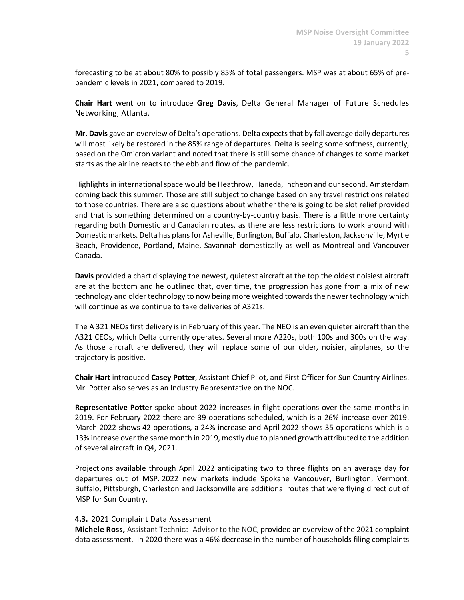forecasting to be at about 80% to possibly 85% of total passengers. MSP was at about 65% of prepandemic levels in 2021, compared to 2019.

**Chair Hart** went on to introduce **Greg Davis**, Delta General Manager of Future Schedules Networking, Atlanta.

**Mr. Davis** gave an overview of Delta's operations. Delta expects that by fall average daily departures will most likely be restored in the 85% range of departures. Delta is seeing some softness, currently, based on the Omicron variant and noted that there is still some chance of changes to some market starts as the airline reacts to the ebb and flow of the pandemic.

Highlights in international space would be Heathrow, Haneda, Incheon and our second. Amsterdam coming back this summer. Those are still subject to change based on any travel restrictions related to those countries. There are also questions about whether there is going to be slot relief provided and that is something determined on a country-by-country basis. There is a little more certainty regarding both Domestic and Canadian routes, as there are less restrictions to work around with Domestic markets. Delta has plans for Asheville, Burlington, Buffalo, Charleston, Jacksonville, Myrtle Beach, Providence, Portland, Maine, Savannah domestically as well as Montreal and Vancouver Canada.

**Davis** provided a chart displaying the newest, quietest aircraft at the top the oldest noisiest aircraft are at the bottom and he outlined that, over time, the progression has gone from a mix of new technology and older technology to now being more weighted towards the newer technology which will continue as we continue to take deliveries of A321s.

The A 321 NEOs first delivery is in February of this year. The NEO is an even quieter aircraft than the A321 CEOs, which Delta currently operates. Several more A220s, both 100s and 300s on the way. As those aircraft are delivered, they will replace some of our older, noisier, airplanes, so the trajectory is positive.

**Chair Hart** introduced **Casey Potter**, Assistant Chief Pilot, and First Officer for Sun Country Airlines. Mr. Potter also serves as an Industry Representative on the NOC.

**Representative Potter** spoke about 2022 increases in flight operations over the same months in 2019. For February 2022 there are 39 operations scheduled, which is a 26% increase over 2019. March 2022 shows 42 operations, a 24% increase and April 2022 shows 35 operations which is a 13% increase over the same month in 2019, mostly due to planned growth attributed to the addition of several aircraft in Q4, 2021.

Projections available through April 2022 anticipating two to three flights on an average day for departures out of MSP. 2022 new markets include Spokane Vancouver, Burlington, Vermont, Buffalo, Pittsburgh, Charleston and Jacksonville are additional routes that were flying direct out of MSP for Sun Country.

#### **4.3.** 2021 Complaint Data Assessment

**Michele Ross,** Assistant Technical Advisor to the NOC, provided an overview of the 2021 complaint data assessment.  In 2020 there was a 46% decrease in the number of households filing complaints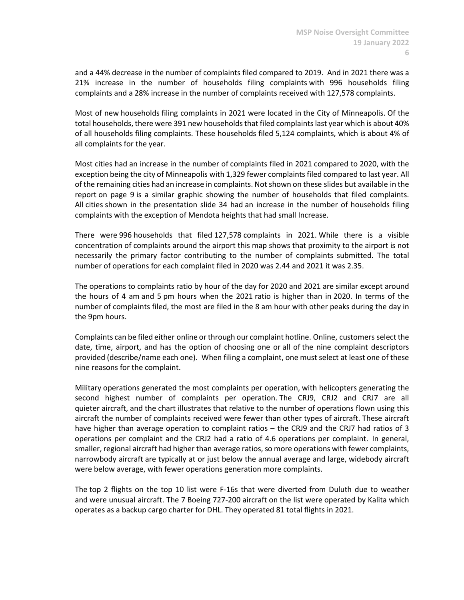and a 44% decrease in the number of complaints filed compared to 2019. And in 2021 there was a 21% increase in the number of households filing complaints with 996 households filing complaints and a 28% increase in the number of complaints received with 127,578 complaints.

Most of new households filing complaints in 2021 were located in the City of Minneapolis. Of the total households, there were 391 new households that filed complaints last year which is about 40% of all households filing complaints. These households filed 5,124 complaints, which is about 4% of all complaints for the year.

Most cities had an increase in the number of complaints filed in 2021 compared to 2020, with the exception being the city of Minneapolis with 1,329 fewer complaints filed compared to last year. All of the remaining cities had an increase in complaints. Not shown on these slides but available in the report on page 9 is a similar graphic showing the number of households that filed complaints. All cities shown in the presentation slide 34 had an increase in the number of households filing complaints with the exception of Mendota heights that had small Increase.

There were 996 households that filed 127,578 complaints in 2021. While there is a visible concentration of complaints around the airport this map shows that proximity to the airport is not necessarily the primary factor contributing to the number of complaints submitted. The total number of operations for each complaint filed in 2020 was 2.44 and 2021 it was 2.35.

The operations to complaints ratio by hour of the day for 2020 and 2021 are similar except around the hours of 4 am and 5 pm hours when the 2021 ratio is higher than in 2020. In terms of the number of complaints filed, the most are filed in the 8 am hour with other peaks during the day in the 9pm hours.

Complaints can be filed either online or through our complaint hotline. Online, customers select the date, time, airport, and has the option of choosing one or all of the nine complaint descriptors provided (describe/name each one). When filing a complaint, one must select at least one of these nine reasons for the complaint.

Military operations generated the most complaints per operation, with helicopters generating the second highest number of complaints per operation. The CRJ9, CRJ2 and CRJ7 are all quieter aircraft, and the chart illustrates that relative to the number of operations flown using this aircraft the number of complaints received were fewer than other types of aircraft. These aircraft have higher than average operation to complaint ratios – the CRJ9 and the CRJ7 had ratios of 3 operations per complaint and the CRJ2 had a ratio of 4.6 operations per complaint. In general, smaller, regional aircraft had higher than average ratios, so more operations with fewer complaints, narrowbody aircraft are typically at or just below the annual average and large, widebody aircraft were below average, with fewer operations generation more complaints.

The top 2 flights on the top 10 list were F-16s that were diverted from Duluth due to weather and were unusual aircraft. The 7 Boeing 727-200 aircraft on the list were operated by Kalita which operates as a backup cargo charter for DHL. They operated 81 total flights in 2021.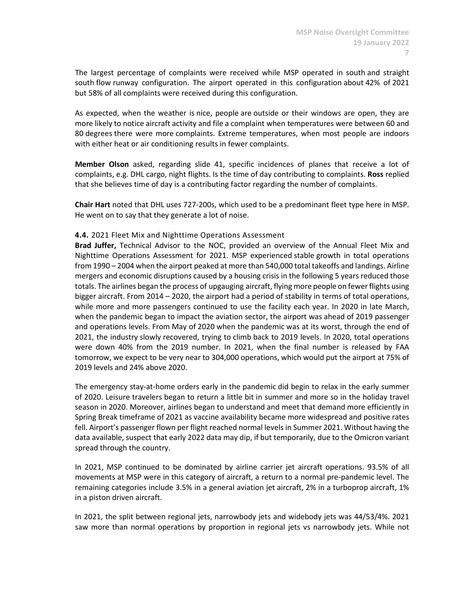The largest percentage of complaints were received while MSP operated in south and straight south flow runway configuration. The airport operated in this configuration about 42% of 2021 but 58% of all complaints were received during this configuration.

As expected, when the weather is nice, people are outside or their windows are open, they are more likely to notice aircraft activity and file a complaint when temperatures were between 60 and 80 degrees there were more complaints. Extreme temperatures, when most people are indoors with either heat or air conditioning results in fewer complaints.

**Member Olson** asked, regarding slide 41, specific incidences of planes that receive a lot of complaints, e.g. DHL cargo, night flights. Is the time of day contributing to complaints. **Ross** replied that she believes time of day is a contributing factor regarding the number of complaints.

**Chair Hart** noted that DHL uses 727-200s, which used to be a predominant fleet type here in MSP. He went on to say that they generate a lot of noise.

### **4.4.** 2021 Fleet Mix and Nighttime Operations Assessment

**Brad Juffer,** Technical Advisor to the NOC, provided an overview of the Annual Fleet Mix and Nighttime Operations Assessment for 2021. MSP experienced stable growth in total operations from 1990 – 2004 when the airport peaked at more than 540,000 total takeoffs and landings. Airline mergers and economic disruptions caused by a housing crisis in the following 5 years reduced those totals. The airlines began the process of upgauging aircraft, flying more people on fewer flights using bigger aircraft. From 2014 – 2020, the airport had a period of stability in terms of total operations, while more and more passengers continued to use the facility each year. In 2020 in late March, when the pandemic began to impact the aviation sector, the airport was ahead of 2019 passenger and operations levels. From May of 2020 when the pandemic was at its worst, through the end of 2021, the industry slowly recovered, trying to climb back to 2019 levels. In 2020, total operations were down 40% from the 2019 number. In 2021, when the final number is released by FAA tomorrow, we expect to be very near to 304,000 operations, which would put the airport at 75% of 2019 levels and 24% above 2020.

The emergency stay-at-home orders early in the pandemic did begin to relax in the early summer of 2020. Leisure travelers began to return a little bit in summer and more so in the holiday travel season in 2020. Moreover, airlines began to understand and meet that demand more efficiently in Spring Break timeframe of 2021 as vaccine availability became more widespread and positive rates fell. Airport's passenger flown per flight reached normal levels in Summer 2021. Without having the data available, suspect that early 2022 data may dip, if but temporarily, due to the Omicron variant spread through the country.

In 2021, MSP continued to be dominated by airline carrier jet aircraft operations. 93.5% of all movements at MSP were in this category of aircraft, a return to a normal pre-pandemic level. The remaining categories include 3.5% in a general aviation jet aircraft, 2% in a turboprop aircraft, 1% in a piston driven aircraft.

In 2021, the split between regional jets, narrowbody jets and widebody jets was 44/53/4%. 2021 saw more than normal operations by proportion in regional jets vs narrowbody jets. While not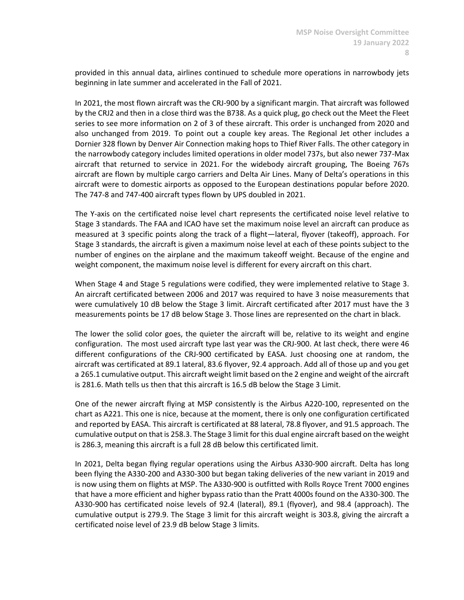provided in this annual data, airlines continued to schedule more operations in narrowbody jets beginning in late summer and accelerated in the Fall of 2021.

In 2021, the most flown aircraft was the CRJ-900 by a significant margin. That aircraft was followed by the CRJ2 and then in a close third was the B738. As a quick plug, go check out the Meet the Fleet series to see more information on 2 of 3 of these aircraft. This order is unchanged from 2020 and also unchanged from 2019. To point out a couple key areas. The Regional Jet other includes a Dornier 328 flown by Denver Air Connection making hops to Thief River Falls. The other category in the narrowbody category includes limited operations in older model 737s, but also newer 737-Max aircraft that returned to service in 2021. For the widebody aircraft grouping, The Boeing 767s aircraft are flown by multiple cargo carriers and Delta Air Lines. Many of Delta's operations in this aircraft were to domestic airports as opposed to the European destinations popular before 2020. The 747-8 and 747-400 aircraft types flown by UPS doubled in 2021.

The Y-axis on the certificated noise level chart represents the certificated noise level relative to Stage 3 standards. The FAA and ICAO have set the maximum noise level an aircraft can produce as measured at 3 specific points along the track of a flight—lateral, flyover (takeoff), approach. For Stage 3 standards, the aircraft is given a maximum noise level at each of these points subject to the number of engines on the airplane and the maximum takeoff weight. Because of the engine and weight component, the maximum noise level is different for every aircraft on this chart.

When Stage 4 and Stage 5 regulations were codified, they were implemented relative to Stage 3. An aircraft certificated between 2006 and 2017 was required to have 3 noise measurements that were cumulatively 10 dB below the Stage 3 limit. Aircraft certificated after 2017 must have the 3 measurements points be 17 dB below Stage 3. Those lines are represented on the chart in black.

The lower the solid color goes, the quieter the aircraft will be, relative to its weight and engine configuration. The most used aircraft type last year was the CRJ-900. At last check, there were 46 different configurations of the CRJ-900 certificated by EASA. Just choosing one at random, the aircraft was certificated at 89.1 lateral, 83.6 flyover, 92.4 approach. Add all of those up and you get a 265.1 cumulative output. This aircraft weight limit based on the 2 engine and weight of the aircraft is 281.6. Math tells us then that this aircraft is 16.5 dB below the Stage 3 Limit.

One of the newer aircraft flying at MSP consistently is the Airbus A220-100, represented on the chart as A221. This one is nice, because at the moment, there is only one configuration certificated and reported by EASA. This aircraft is certificated at 88 lateral, 78.8 flyover, and 91.5 approach. The cumulative output on that is 258.3. The Stage 3 limit for this dual engine aircraft based on the weight is 286.3, meaning this aircraft is a full 28 dB below this certificated limit.

In 2021, Delta began flying regular operations using the Airbus A330-900 aircraft. Delta has long been flying the A330-200 and A330-300 but began taking deliveries of the new variant in 2019 and is now using them on flights at MSP. The A330-900 is outfitted with Rolls Royce Trent 7000 engines that have a more efficient and higher bypass ratio than the Pratt 4000s found on the A330-300. The A330-900 has certificated noise levels of 92.4 (lateral), 89.1 (flyover), and 98.4 (approach). The cumulative output is 279.9. The Stage 3 limit for this aircraft weight is 303.8, giving the aircraft a certificated noise level of 23.9 dB below Stage 3 limits.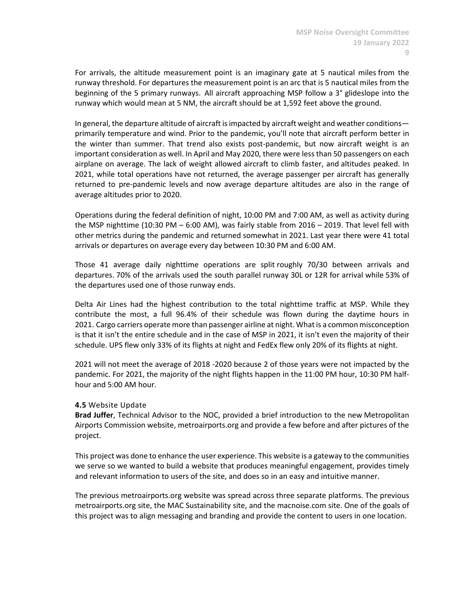For arrivals, the altitude measurement point is an imaginary gate at 5 nautical miles from the runway threshold. For departures the measurement point is an arc that is 5 nautical miles from the beginning of the 5 primary runways. All aircraft approaching MSP follow a 3° glideslope into the runway which would mean at 5 NM, the aircraft should be at 1,592 feet above the ground.

In general, the departure altitude of aircraft is impacted by aircraft weight and weather conditions primarily temperature and wind. Prior to the pandemic, you'll note that aircraft perform better in the winter than summer. That trend also exists post-pandemic, but now aircraft weight is an important consideration as well. In April and May 2020, there were less than 50 passengers on each airplane on average. The lack of weight allowed aircraft to climb faster, and altitudes peaked. In 2021, while total operations have not returned, the average passenger per aircraft has generally returned to pre-pandemic levels and now average departure altitudes are also in the range of average altitudes prior to 2020.

Operations during the federal definition of night, 10:00 PM and 7:00 AM, as well as activity during the MSP nighttime (10:30 PM – 6:00 AM), was fairly stable from 2016 – 2019. That level fell with other metrics during the pandemic and returned somewhat in 2021. Last year there were 41 total arrivals or departures on average every day between 10:30 PM and 6:00 AM.

Those 41 average daily nighttime operations are split roughly 70/30 between arrivals and departures. 70% of the arrivals used the south parallel runway 30L or 12R for arrival while 53% of the departures used one of those runway ends.

Delta Air Lines had the highest contribution to the total nighttime traffic at MSP. While they contribute the most, a full 96.4% of their schedule was flown during the daytime hours in 2021. Cargo carriers operate more than passenger airline at night. What is a common misconception is that it isn't the entire schedule and in the case of MSP in 2021, it isn't even the majority of their schedule. UPS flew only 33% of its flights at night and FedEx flew only 20% of its flights at night.

2021 will not meet the average of 2018 -2020 because 2 of those years were not impacted by the pandemic. For 2021, the majority of the night flights happen in the 11:00 PM hour, 10:30 PM halfhour and 5:00 AM hour.

#### **4.5** Website Update

**Brad Juffer**, Technical Advisor to the NOC, provided a brief introduction to the new Metropolitan Airports Commission website, metroairports.org and provide a few before and after pictures of the project.

This project was done to enhance the user experience. This website is a gateway to the communities we serve so we wanted to build a website that produces meaningful engagement, provides timely and relevant information to users of the site, and does so in an easy and intuitive manner.

The previous metroairports.org website was spread across three separate platforms. The previous metroairports.org site, the MAC Sustainability site, and the macnoise.com site. One of the goals of this project was to align messaging and branding and provide the content to users in one location.